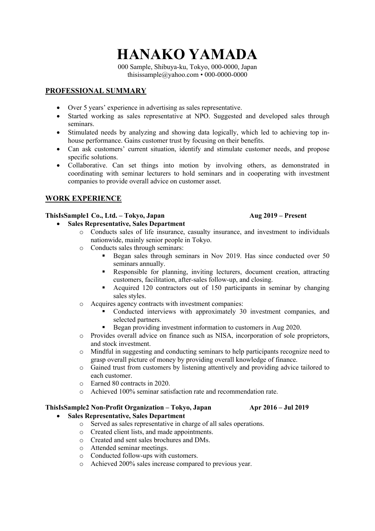**HANAKO YAMADA**

000 Sample, Shibuya-ku, Tokyo, 000-0000, Japan thisissample@yahoo.com • 000-0000-0000

# **PROFESSIONAL SUMMARY**

- Over 5 years' experience in advertising as sales representative.
- Started working as sales representative at NPO. Suggested and developed sales through seminars.
- Stimulated needs by analyzing and showing data logically, which led to achieving top inhouse performance. Gains customer trust by focusing on their benefits.
- Can ask customers' current situation, identify and stimulate customer needs, and propose specific solutions.
- Collaborative. Can set things into motion by involving others, as demonstrated in coordinating with seminar lecturers to hold seminars and in cooperating with investment companies to provide overall advice on customer asset.

# **WORK EXPERIENCE**

## **ThisIsSample1 Co., Ltd. – Tokyo, Japan Aug 2019 – Present**

- **Sales Representative, Sales Department**
	- o Conducts sales of life insurance, casualty insurance, and investment to individuals nationwide, mainly senior people in Tokyo.
	- o Conducts sales through seminars:
		- Began sales through seminars in Nov 2019. Has since conducted over 50 seminars annually.
		- § Responsible for planning, inviting lecturers, document creation, attracting customers, facilitation, after-sales follow-up, and closing.
		- Acquired 120 contractors out of 150 participants in seminar by changing sales styles.
	- o Acquires agency contracts with investment companies:
		- § Conducted interviews with approximately 30 investment companies, and selected partners.
		- Began providing investment information to customers in Aug 2020.
	- o Provides overall advice on finance such as NISA, incorporation of sole proprietors, and stock investment.
	- o Mindful in suggesting and conducting seminars to help participants recognize need to grasp overall picture of money by providing overall knowledge of finance.
	- o Gained trust from customers by listening attentively and providing advice tailored to each customer.
	- o Earned 80 contracts in 2020.
	- o Achieved 100% seminar satisfaction rate and recommendation rate.

### **ThisIsSample2 Non-Profit Organization – Tokyo, Japan Apr 2016 – Jul 2019**

- **Sales Representative, Sales Department**
	- o Served as sales representative in charge of all sales operations.
	- o Created client lists, and made appointments.
	- o Created and sent sales brochures and DMs.
	- o Attended seminar meetings.
	- o Conducted follow-ups with customers.
	- o Achieved 200% sales increase compared to previous year.